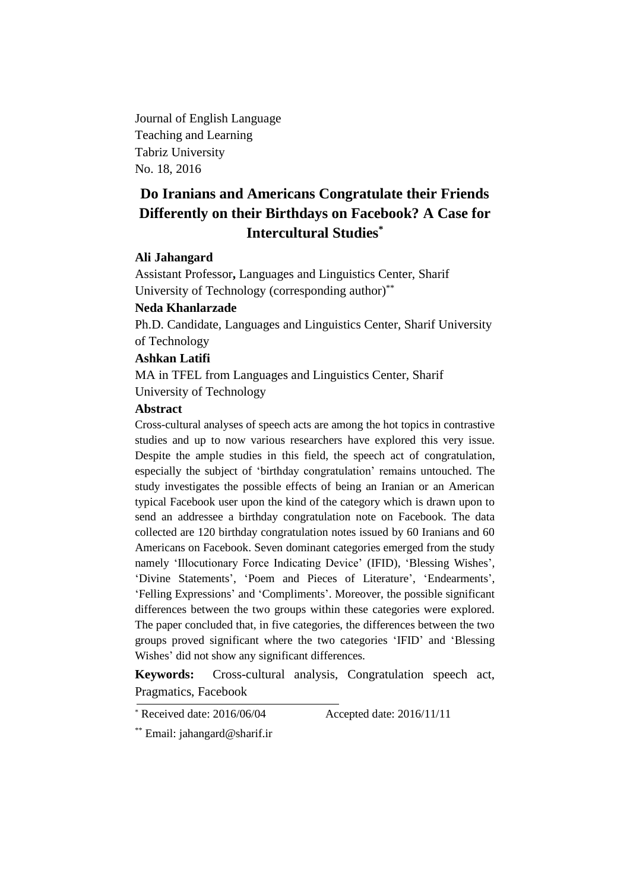Journal of English Language Teaching and Learning Tabriz University No. 18, 2016

# **Do Iranians and Americans Congratulate their Friends Differently on their Birthdays on Facebook? A Case for Intercultural Studies\***

## **Ali Jahangard**

Assistant Professor**,** Languages and Linguistics Center, Sharif University of Technology (corresponding author)<sup>\*\*</sup>

## **Neda Khanlarzade**

Ph.D. Candidate, Languages and Linguistics Center, Sharif University of Technology

#### **Ashkan Latifi**

MA in TFEL from Languages and Linguistics Center, Sharif University of Technology

#### **Abstract**

Cross-cultural analyses of speech acts are among the hot topics in contrastive studies and up to now various researchers have explored this very issue. Despite the ample studies in this field, the speech act of congratulation, especially the subject of 'birthday congratulation' remains untouched. The study investigates the possible effects of being an Iranian or an American typical Facebook user upon the kind of the category which is drawn upon to send an addressee a birthday congratulation note on Facebook. The data collected are 120 birthday congratulation notes issued by 60 Iranians and 60 Americans on Facebook. Seven dominant categories emerged from the study namely 'Illocutionary Force Indicating Device' (IFID), 'Blessing Wishes', 'Divine Statements', 'Poem and Pieces of Literature', 'Endearments', 'Felling Expressions' and 'Compliments'. Moreover, the possible significant differences between the two groups within these categories were explored. The paper concluded that, in five categories, the differences between the two groups proved significant where the two categories 'IFID' and 'Blessing Wishes' did not show any significant differences.

**Keywords:** Cross-cultural analysis, Congratulation speech act, Pragmatics, Facebook

\* Received date: 2016/06/04 Accepted date: 2016/11/11

\*\* Email: jahangard@sharif.ir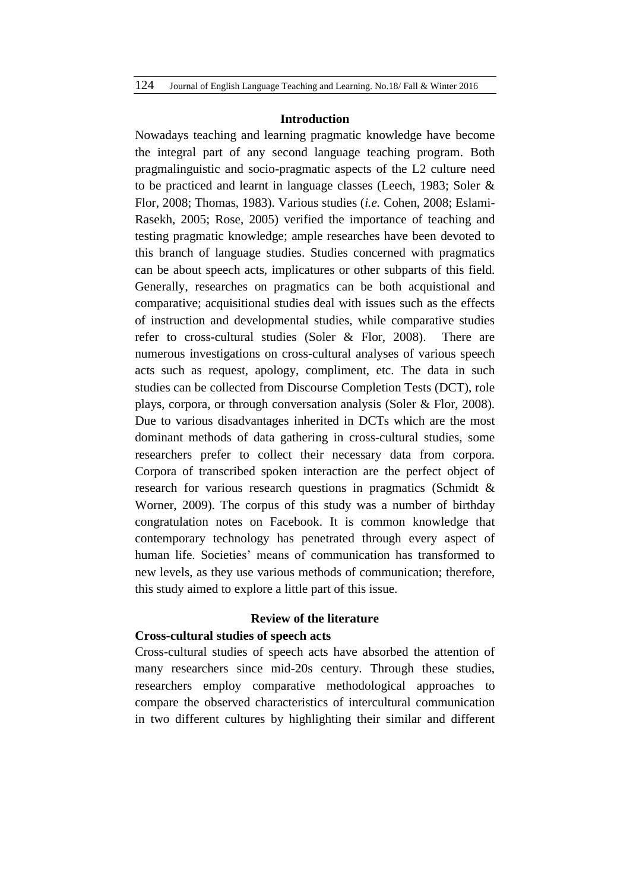#### **Introduction**

Nowadays teaching and learning pragmatic knowledge have become the integral part of any second language teaching program. Both pragmalinguistic and socio-pragmatic aspects of the L2 culture need to be practiced and learnt in language classes (Leech, 1983; Soler & Flor, 2008; Thomas, 1983). Various studies (*i.e.* Cohen, 2008; Eslami-Rasekh, 2005; Rose, 2005) verified the importance of teaching and testing pragmatic knowledge; ample researches have been devoted to this branch of language studies. Studies concerned with pragmatics can be about speech acts, implicatures or other subparts of this field. Generally, researches on pragmatics can be both acquistional and comparative; acquisitional studies deal with issues such as the effects of instruction and developmental studies, while comparative studies refer to cross-cultural studies (Soler & Flor, 2008). There are numerous investigations on cross-cultural analyses of various speech acts such as request, apology, compliment, etc. The data in such studies can be collected from Discourse Completion Tests (DCT), role plays, corpora, or through conversation analysis (Soler & Flor, 2008). Due to various disadvantages inherited in DCTs which are the most dominant methods of data gathering in cross-cultural studies, some researchers prefer to collect their necessary data from corpora. Corpora of transcribed spoken interaction are the perfect object of research for various research questions in pragmatics (Schmidt & Worner, 2009). The corpus of this study was a number of birthday congratulation notes on Facebook. It is common knowledge that contemporary technology has penetrated through every aspect of human life. Societies' means of communication has transformed to new levels, as they use various methods of communication; therefore, this study aimed to explore a little part of this issue.

## **Review of the literature**

#### **Cross-cultural studies of speech acts**

Cross-cultural studies of speech acts have absorbed the attention of many researchers since mid-20s century. Through these studies, researchers employ comparative methodological approaches to compare the observed characteristics of intercultural communication in two different cultures by highlighting their similar and different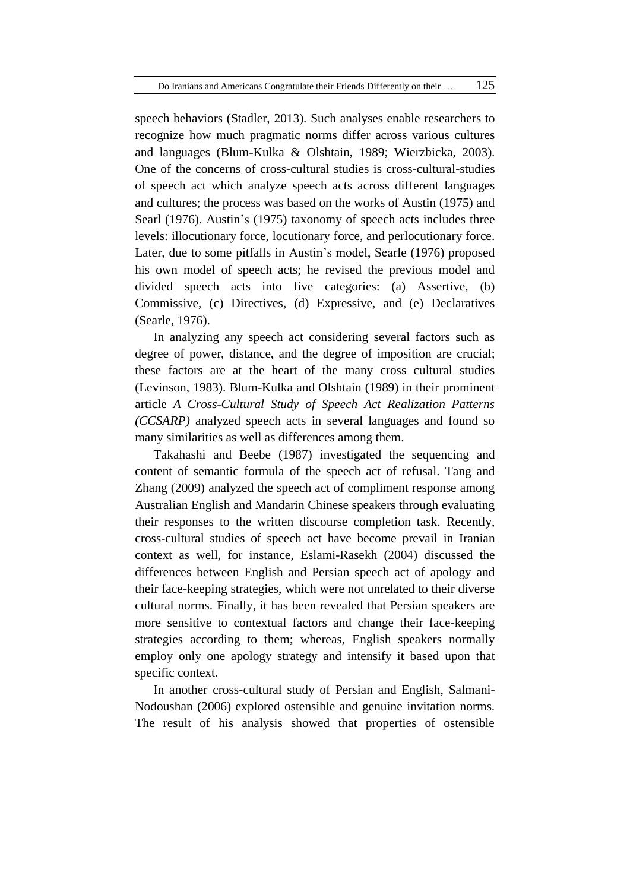speech behaviors (Stadler, 2013). Such analyses enable researchers to recognize how much pragmatic norms differ across various cultures and languages (Blum-Kulka & Olshtain, 1989; Wierzbicka, 2003). One of the concerns of cross-cultural studies is cross-cultural-studies of speech act which analyze speech acts across different languages and cultures; the process was based on the works of Austin (1975) and Searl (1976). Austin's (1975) taxonomy of speech acts includes three levels: illocutionary force, locutionary force, and perlocutionary force. Later, due to some pitfalls in Austin's model, Searle (1976) proposed his own model of speech acts; he revised the previous model and divided speech acts into five categories: (a) Assertive, (b) Commissive, (c) Directives, (d) Expressive, and (e) Declaratives (Searle, 1976).

In analyzing any speech act considering several factors such as degree of power, distance, and the degree of imposition are crucial; these factors are at the heart of the many cross cultural studies (Levinson, 1983). Blum-Kulka and Olshtain (1989) in their prominent article *A Cross-Cultural Study of Speech Act Realization Patterns (CCSARP)* analyzed speech acts in several languages and found so many similarities as well as differences among them.

Takahashi and Beebe (1987) investigated the sequencing and content of semantic formula of the speech act of refusal. Tang and Zhang (2009) analyzed the speech act of compliment response among Australian English and Mandarin Chinese speakers through evaluating their responses to the written discourse completion task. Recently, cross-cultural studies of speech act have become prevail in Iranian context as well, for instance, Eslami-Rasekh (2004) discussed the differences between English and Persian speech act of apology and their face-keeping strategies, which were not unrelated to their diverse cultural norms. Finally, it has been revealed that Persian speakers are more sensitive to contextual factors and change their face-keeping strategies according to them; whereas, English speakers normally employ only one apology strategy and intensify it based upon that specific context.

In another cross-cultural study of Persian and English, Salmani-Nodoushan (2006) explored ostensible and genuine invitation norms. The result of his analysis showed that properties of ostensible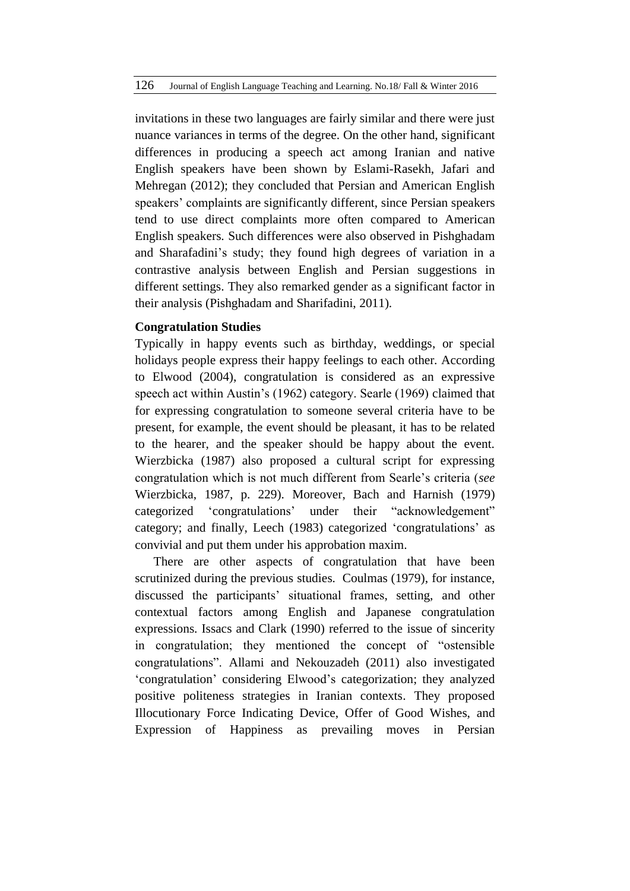invitations in these two languages are fairly similar and there were just nuance variances in terms of the degree. On the other hand, significant differences in producing a speech act among Iranian and native English speakers have been shown by Eslami-Rasekh, Jafari and Mehregan (2012); they concluded that Persian and American English speakers' complaints are significantly different, since Persian speakers tend to use direct complaints more often compared to American English speakers. Such differences were also observed in Pishghadam and Sharafadini's study; they found high degrees of variation in a contrastive analysis between English and Persian suggestions in different settings. They also remarked gender as a significant factor in their analysis (Pishghadam and Sharifadini, 2011).

## **Congratulation Studies**

Typically in happy events such as birthday, weddings, or special holidays people express their happy feelings to each other. According to Elwood (2004), congratulation is considered as an expressive speech act within Austin's (1962) category. Searle (1969) claimed that for expressing congratulation to someone several criteria have to be present, for example, the event should be pleasant, it has to be related to the hearer, and the speaker should be happy about the event. Wierzbicka (1987) also proposed a cultural script for expressing congratulation which is not much different from Searle's criteria (*see* Wierzbicka, 1987, p. 229). Moreover, Bach and Harnish (1979) categorized 'congratulations' under their "acknowledgement" category; and finally, Leech (1983) categorized 'congratulations' as convivial and put them under his approbation maxim.

There are other aspects of congratulation that have been scrutinized during the previous studies. Coulmas (1979), for instance, discussed the participants' situational frames, setting, and other contextual factors among English and Japanese congratulation expressions. Issacs and Clark (1990) referred to the issue of sincerity in congratulation; they mentioned the concept of "ostensible congratulations". Allami and Nekouzadeh (2011) also investigated 'congratulation' considering Elwood's categorization; they analyzed positive politeness strategies in Iranian contexts. They proposed Illocutionary Force Indicating Device, Offer of Good Wishes, and Expression of Happiness as prevailing moves in Persian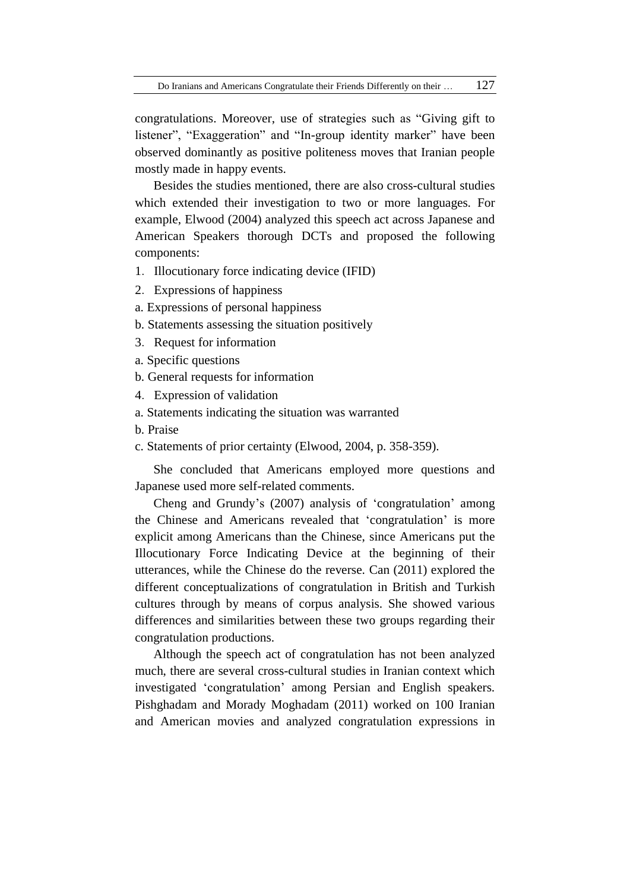congratulations. Moreover, use of strategies such as "Giving gift to listener", "Exaggeration" and "In-group identity marker" have been observed dominantly as positive politeness moves that Iranian people mostly made in happy events.

Besides the studies mentioned, there are also cross-cultural studies which extended their investigation to two or more languages. For example, Elwood (2004) analyzed this speech act across Japanese and American Speakers thorough DCTs and proposed the following components:

- 1.Illocutionary force indicating device (IFID)
- 2.Expressions of happiness
- a. Expressions of personal happiness
- b. Statements assessing the situation positively
- 3.Request for information
- a. Specific questions
- b. General requests for information
- 4.Expression of validation
- a. Statements indicating the situation was warranted
- b. Praise
- c. Statements of prior certainty (Elwood, 2004, p. 358-359).

She concluded that Americans employed more questions and Japanese used more self-related comments.

Cheng and Grundy's (2007) analysis of 'congratulation' among the Chinese and Americans revealed that 'congratulation' is more explicit among Americans than the Chinese, since Americans put the Illocutionary Force Indicating Device at the beginning of their utterances, while the Chinese do the reverse. Can (2011) explored the different conceptualizations of congratulation in British and Turkish cultures through by means of corpus analysis. She showed various differences and similarities between these two groups regarding their congratulation productions.

Although the speech act of congratulation has not been analyzed much, there are several cross-cultural studies in Iranian context which investigated 'congratulation' among Persian and English speakers. Pishghadam and Morady Moghadam (2011) worked on 100 Iranian and American movies and analyzed congratulation expressions in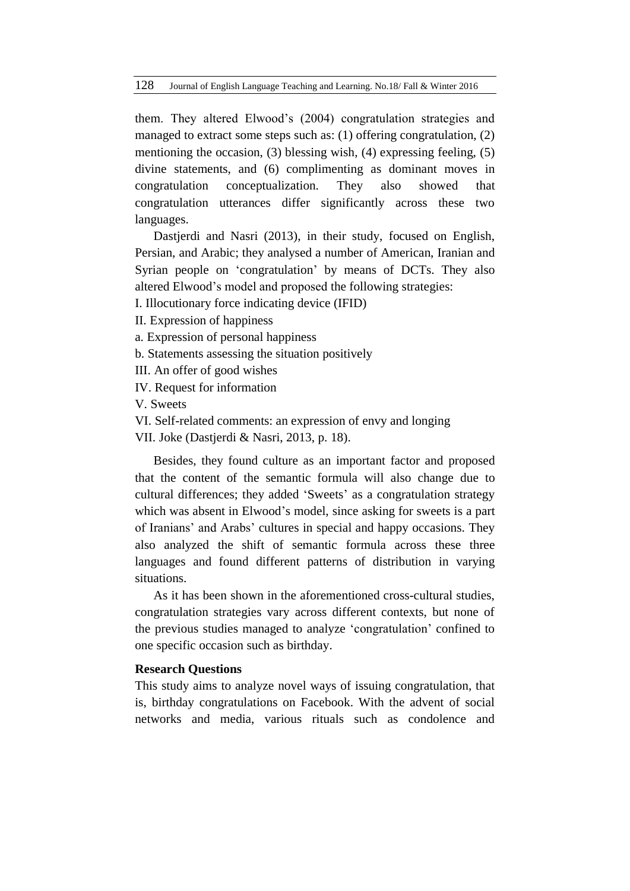them. They altered Elwood's (2004) congratulation strategies and managed to extract some steps such as: (1) offering congratulation, (2) mentioning the occasion, (3) blessing wish, (4) expressing feeling, (5) divine statements, and (6) complimenting as dominant moves in congratulation conceptualization. They also showed that congratulation utterances differ significantly across these two languages.

Dastjerdi and Nasri (2013), in their study, focused on English, Persian, and Arabic; they analysed a number of American, Iranian and Syrian people on 'congratulation' by means of DCTs. They also altered Elwood's model and proposed the following strategies:

I. Illocutionary force indicating device (IFID)

II. Expression of happiness

a. Expression of personal happiness

b. Statements assessing the situation positively

III. An offer of good wishes

IV. Request for information

V. Sweets

VI. Self-related comments: an expression of envy and longing

VII. Joke (Dastjerdi & Nasri, 2013, p. 18).

Besides, they found culture as an important factor and proposed that the content of the semantic formula will also change due to cultural differences; they added 'Sweets' as a congratulation strategy which was absent in Elwood's model, since asking for sweets is a part of Iranians' and Arabs' cultures in special and happy occasions. They also analyzed the shift of semantic formula across these three languages and found different patterns of distribution in varying situations.

As it has been shown in the aforementioned cross-cultural studies, congratulation strategies vary across different contexts, but none of the previous studies managed to analyze 'congratulation' confined to one specific occasion such as birthday.

## **Research Questions**

This study aims to analyze novel ways of issuing congratulation, that is, birthday congratulations on Facebook. With the advent of social networks and media, various rituals such as condolence and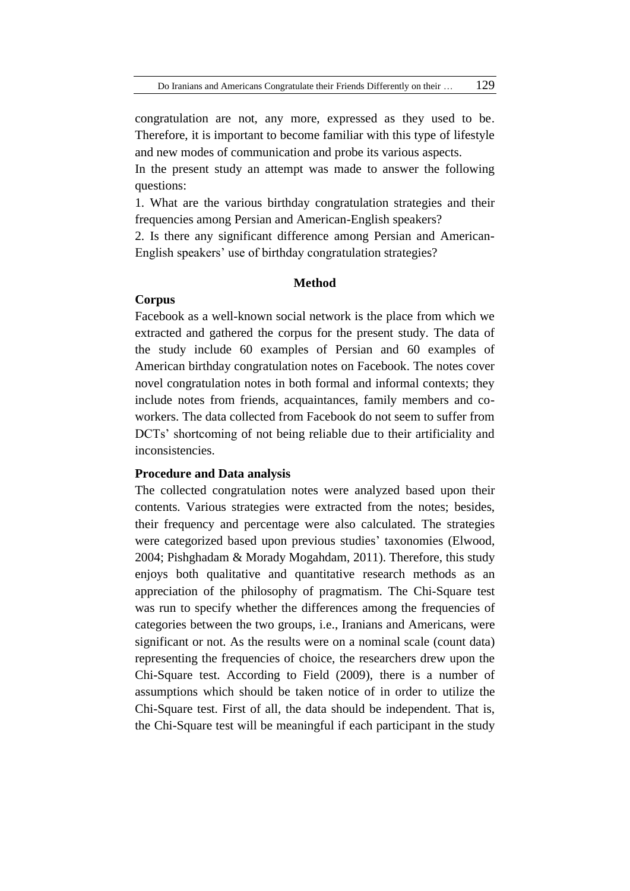congratulation are not, any more, expressed as they used to be. Therefore, it is important to become familiar with this type of lifestyle and new modes of communication and probe its various aspects.

In the present study an attempt was made to answer the following questions:

1. What are the various birthday congratulation strategies and their frequencies among Persian and American-English speakers?

2. Is there any significant difference among Persian and American-English speakers' use of birthday congratulation strategies?

## **Method**

## **Corpus**

Facebook as a well-known social network is the place from which we extracted and gathered the corpus for the present study. The data of the study include 60 examples of Persian and 60 examples of American birthday congratulation notes on Facebook. The notes cover novel congratulation notes in both formal and informal contexts; they include notes from friends, acquaintances, family members and coworkers. The data collected from Facebook do not seem to suffer from DCTs' shortcoming of not being reliable due to their artificiality and inconsistencies.

## **Procedure and Data analysis**

The collected congratulation notes were analyzed based upon their contents. Various strategies were extracted from the notes; besides, their frequency and percentage were also calculated. The strategies were categorized based upon previous studies' taxonomies (Elwood, 2004; Pishghadam & Morady Mogahdam, 2011). Therefore, this study enjoys both qualitative and quantitative research methods as an appreciation of the philosophy of pragmatism. The Chi-Square test was run to specify whether the differences among the frequencies of categories between the two groups, i.e., Iranians and Americans, were significant or not. As the results were on a nominal scale (count data) representing the frequencies of choice, the researchers drew upon the Chi-Square test. According to Field (2009), there is a number of assumptions which should be taken notice of in order to utilize the Chi-Square test. First of all, the data should be independent. That is, the Chi-Square test will be meaningful if each participant in the study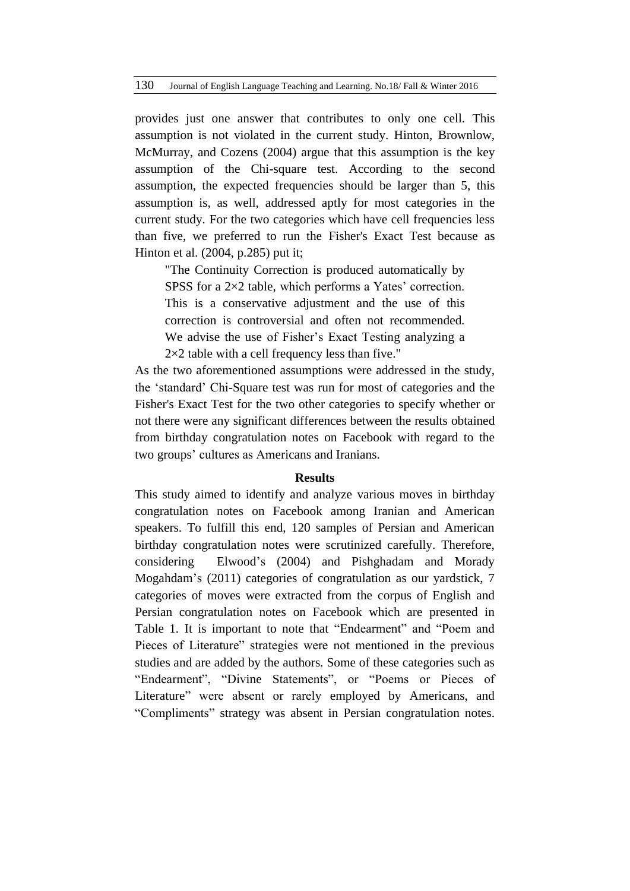provides just one answer that contributes to only one cell. This assumption is not violated in the current study. Hinton, Brownlow, McMurray, and Cozens (2004) argue that this assumption is the key assumption of the Chi-square test. According to the second assumption, the expected frequencies should be larger than 5, this assumption is, as well, addressed aptly for most categories in the current study. For the two categories which have cell frequencies less than five, we preferred to run the Fisher's Exact Test because as Hinton et al. (2004, p.285) put it;

"The Continuity Correction is produced automatically by SPSS for a 2×2 table, which performs a Yates' correction. This is a conservative adjustment and the use of this correction is controversial and often not recommended. We advise the use of Fisher's Exact Testing analyzing a  $2\times2$  table with a cell frequency less than five."

As the two aforementioned assumptions were addressed in the study, the 'standard' Chi-Square test was run for most of categories and the Fisher's Exact Test for the two other categories to specify whether or not there were any significant differences between the results obtained from birthday congratulation notes on Facebook with regard to the two groups' cultures as Americans and Iranians.

#### **Results**

This study aimed to identify and analyze various moves in birthday congratulation notes on Facebook among Iranian and American speakers. To fulfill this end, 120 samples of Persian and American birthday congratulation notes were scrutinized carefully. Therefore, considering Elwood's (2004) and Pishghadam and Morady Mogahdam's (2011) categories of congratulation as our yardstick, 7 categories of moves were extracted from the corpus of English and Persian congratulation notes on Facebook which are presented in Table 1. It is important to note that "Endearment" and "Poem and Pieces of Literature" strategies were not mentioned in the previous studies and are added by the authors. Some of these categories such as "Endearment", "Divine Statements", or "Poems or Pieces of Literature" were absent or rarely employed by Americans, and "Compliments" strategy was absent in Persian congratulation notes.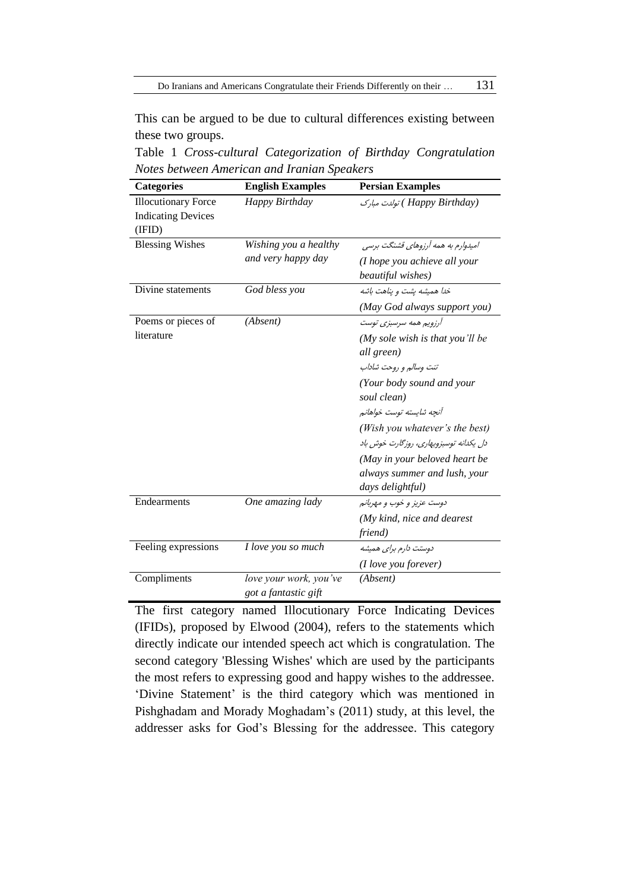This can be argued to be due to cultural differences existing between these two groups.

Table 1 *Cross-cultural Categorization of Birthday Congratulation Notes between American and Iranian Speakers*

| <b>Categories</b>                                                 | <b>English Examples</b>                        | <b>Persian Examples</b>                           |
|-------------------------------------------------------------------|------------------------------------------------|---------------------------------------------------|
| <b>Illocutionary Force</b><br><b>Indicating Devices</b><br>(IFID) | Happy Birthday                                 | (Happy Birthday) تولدت مبارک                      |
| <b>Blessing Wishes</b>                                            | Wishing you a healthy                          | امیدوارم به همه آرزوهای قشنگت برسی                |
|                                                                   | and very happy day                             | (I hope you achieve all your<br>beautiful wishes) |
| Divine statements                                                 | God bless you                                  | خدا همیشه یشت و پناهت باشه                        |
|                                                                   |                                                | (May God always support you)                      |
| Poems or pieces of                                                | (Absent)                                       | آرزویم همه سرسبزی توست                            |
| literature                                                        |                                                | (My sole wish is that you'll be<br>all green)     |
|                                                                   |                                                | تنت وسالم و روحت شاداب                            |
|                                                                   |                                                | (Your body sound and your<br>soul clean)          |
|                                                                   |                                                | أنجه شابسته توست خواهانم                          |
|                                                                   |                                                | (Wish you whatever's the best)                    |
|                                                                   |                                                | دل یکدانه توسبزوبهاری، روزگارت خوش باد            |
|                                                                   |                                                | (May in your beloved heart be                     |
|                                                                   |                                                | always summer and lush, your<br>days delightful)  |
| Endearments                                                       | One amazing lady                               | دوست عزيز و خوب و مهربانم                         |
|                                                                   |                                                | $(My$ kind, nice and dearest                      |
|                                                                   |                                                | friend)                                           |
| Feeling expressions                                               | I love you so much                             | دوستت دارم برای همیشه                             |
|                                                                   |                                                | (I love you forever)                              |
| Compliments                                                       | love your work, you've<br>got a fantastic gift | (Absent)                                          |

The first category named Illocutionary Force Indicating Devices (IFIDs), proposed by Elwood (2004), refers to the statements which directly indicate our intended speech act which is congratulation. The second category 'Blessing Wishes' which are used by the participants the most refers to expressing good and happy wishes to the addressee. 'Divine Statement' is the third category which was mentioned in Pishghadam and Morady Moghadam's (2011) study, at this level, the addresser asks for God's Blessing for the addressee. This category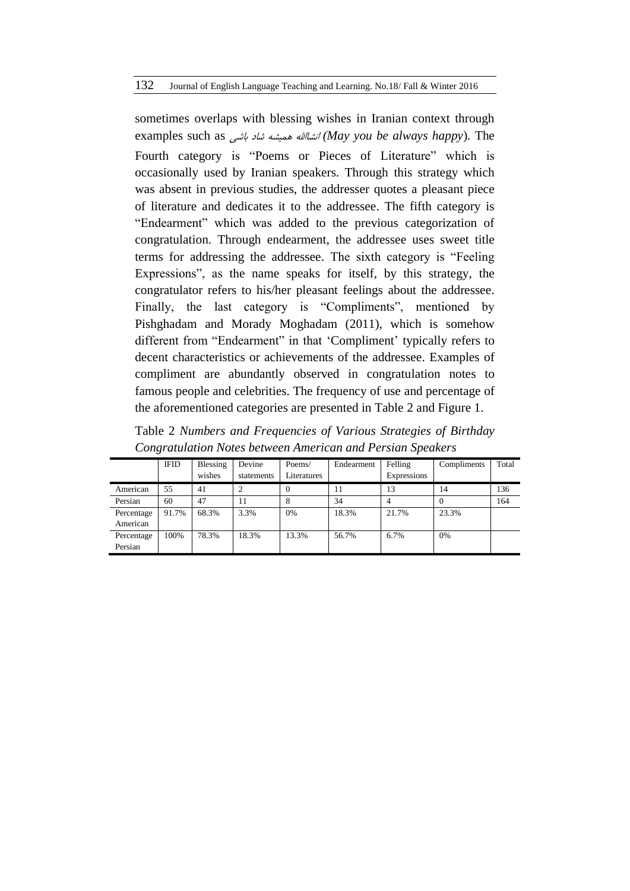sometimes overlaps with blessing wishes in Iranian context through examples such as باشی شاد همیشه انشااهلل*) May you be always happy*). The Fourth category is "Poems or Pieces of Literature" which is occasionally used by Iranian speakers. Through this strategy which was absent in previous studies, the addresser quotes a pleasant piece of literature and dedicates it to the addressee. The fifth category is "Endearment" which was added to the previous categorization of congratulation. Through endearment, the addressee uses sweet title terms for addressing the addressee. The sixth category is "Feeling Expressions", as the name speaks for itself, by this strategy, the congratulator refers to his/her pleasant feelings about the addressee. Finally, the last category is "Compliments", mentioned by Pishghadam and Morady Moghadam (2011), which is somehow different from "Endearment" in that 'Compliment' typically refers to decent characteristics or achievements of the addressee. Examples of compliment are abundantly observed in congratulation notes to famous people and celebrities. The frequency of use and percentage of the aforementioned categories are presented in Table 2 and Figure 1.

|            | <b>IFID</b> | Blessing<br>wishes | Devine<br>statements | Poems/<br>Literatures | Endearment | Felling<br>Expressions | Compliments | Total |
|------------|-------------|--------------------|----------------------|-----------------------|------------|------------------------|-------------|-------|
| American   | 55          | 41                 |                      | $\mathbf{0}$          | 11         | 13                     | 14          | 136   |
| Persian    | 60          | 47                 | 11                   | 8                     | 34         |                        | $\theta$    | 164   |
| Percentage | 91.7%       | 68.3%              | 3.3%                 | 0%                    | 18.3%      | 21.7%                  | 23.3%       |       |
| American   |             |                    |                      |                       |            |                        |             |       |
| Percentage | 100%        | 78.3%              | 18.3%                | 13.3%                 | 56.7%      | 6.7%                   | 0%          |       |
| Persian    |             |                    |                      |                       |            |                        |             |       |

Table 2 *Numbers and Frequencies of Various Strategies of Birthday Congratulation Notes between American and Persian Speakers*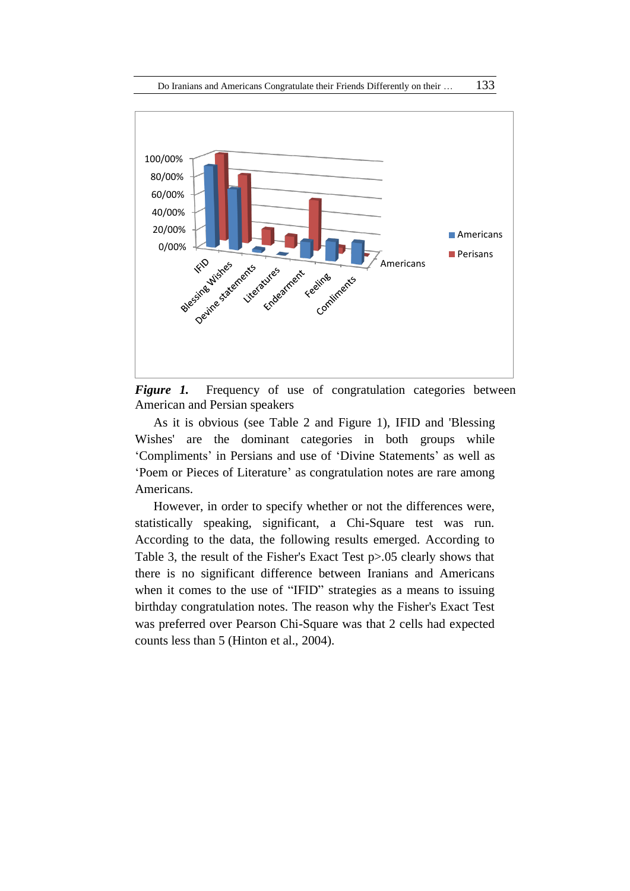

*Figure 1.* Frequency of use of congratulation categories between American and Persian speakers

As it is obvious (see Table 2 and Figure 1), IFID and 'Blessing Wishes' are the dominant categories in both groups while 'Compliments' in Persians and use of 'Divine Statements' as well as 'Poem or Pieces of Literature' as congratulation notes are rare among Americans.

However, in order to specify whether or not the differences were, statistically speaking, significant, a Chi-Square test was run. According to the data, the following results emerged. According to Table 3, the result of the Fisher's Exact Test p>.05 clearly shows that there is no significant difference between Iranians and Americans when it comes to the use of "IFID" strategies as a means to issuing birthday congratulation notes. The reason why the Fisher's Exact Test was preferred over Pearson Chi-Square was that 2 cells had expected counts less than 5 (Hinton et al., 2004).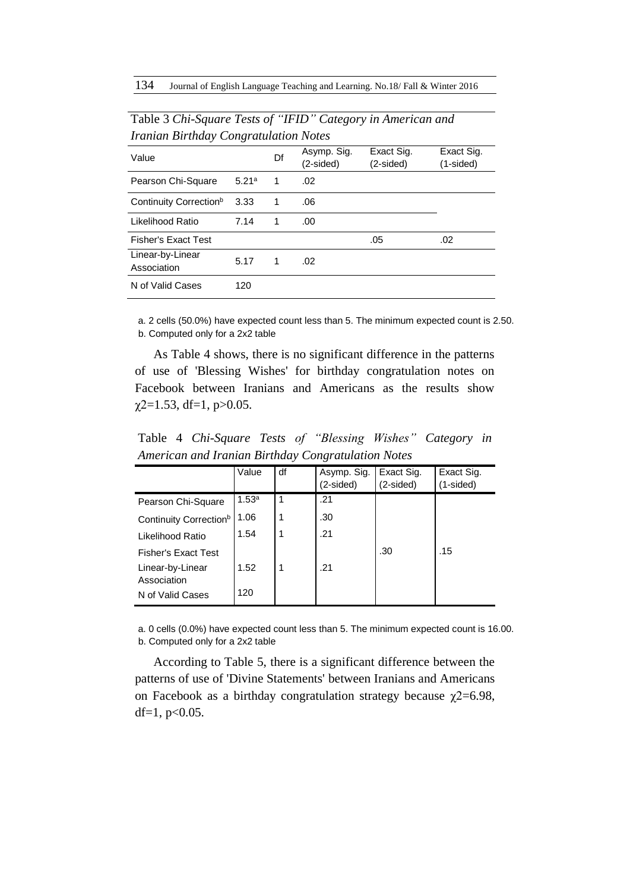| <i>Hanian Birmaay Congramation Notes</i> |       |    |                          |                         |                         |  |  |  |
|------------------------------------------|-------|----|--------------------------|-------------------------|-------------------------|--|--|--|
| Value                                    |       | Df | Asymp. Sig.<br>(2-sided) | Exact Sig.<br>(2-sided) | Exact Sig.<br>(1-sided) |  |  |  |
| Pearson Chi-Square                       | 5.21a | 1  | .02                      |                         |                         |  |  |  |
| Continuity Correction <sup>b</sup>       | 3.33  | 1  | .06                      |                         |                         |  |  |  |
| Likelihood Ratio                         | 7.14  | 1  | .00.                     |                         |                         |  |  |  |
| <b>Fisher's Exact Test</b>               |       |    |                          | .05                     | .02                     |  |  |  |
| Linear-by-Linear<br>Association          | 5.17  | 1  | .02                      |                         |                         |  |  |  |
| N of Valid Cases                         | 120   |    |                          |                         |                         |  |  |  |

Table 3 *Chi-Square Tests of "IFID" Category in American and Iranian Birthday Congratulation Notes*

a. 2 cells (50.0%) have expected count less than 5. The minimum expected count is 2.50. b. Computed only for a 2x2 table

As Table 4 shows, there is no significant difference in the patterns of use of 'Blessing Wishes' for birthday congratulation notes on Facebook between Iranians and Americans as the results show  $\chi$ 2=1.53, df=1, p>0.05.

Table 4 *Chi-Square Tests of "Blessing Wishes" Category in American and Iranian Birthday Congratulation Notes* 

|                                    | Value             | df | Asymp. Sig.<br>(2-sided) | Exact Sig.<br>(2-sided) | Exact Sig.<br>1-sided) |
|------------------------------------|-------------------|----|--------------------------|-------------------------|------------------------|
| Pearson Chi-Square                 | 1.53 <sup>a</sup> | 1  | .21                      |                         |                        |
| Continuity Correction <sup>b</sup> | 1.06              | 1  | .30                      |                         |                        |
| Likelihood Ratio                   | 1.54              | 1  | .21                      |                         |                        |
| <b>Fisher's Exact Test</b>         |                   |    |                          | .30                     | .15                    |
| Linear-by-Linear<br>Association    | 1.52              | 1  | .21                      |                         |                        |
| N of Valid Cases                   | 120               |    |                          |                         |                        |

a. 0 cells (0.0%) have expected count less than 5. The minimum expected count is 16.00. b. Computed only for a 2x2 table

According to Table 5, there is a significant difference between the patterns of use of 'Divine Statements' between Iranians and Americans on Facebook as a birthday congratulation strategy because  $\chi$ 2=6.98, df=1,  $p<0.05$ .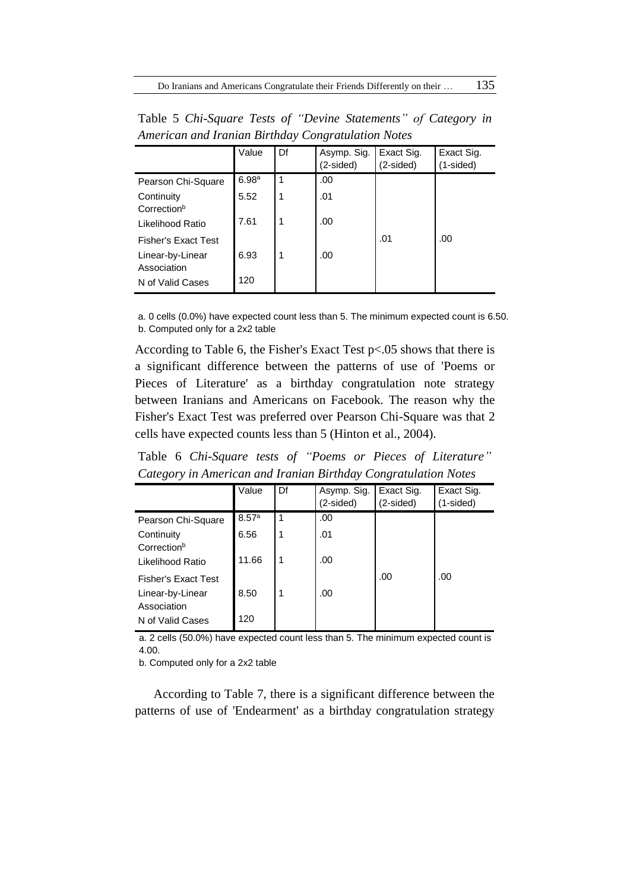|                                       | Value             | Df | Asymp. Sig.<br>(2-sided) | Exact Sig.<br>(2-sided) | Exact Sig.<br>(1-sided) |
|---------------------------------------|-------------------|----|--------------------------|-------------------------|-------------------------|
| Pearson Chi-Square                    | 6.98 <sup>a</sup> | 1  | .00                      |                         |                         |
| Continuity<br>Correction <sup>b</sup> | 5.52              | 1  | .01                      |                         |                         |
| Likelihood Ratio                      | 7.61              | 1  | .00                      |                         |                         |
| <b>Fisher's Exact Test</b>            |                   |    |                          | .01                     | .00                     |
| Linear-by-Linear<br>Association       | 6.93              | 1  | .00                      |                         |                         |
| N of Valid Cases                      | 120               |    |                          |                         |                         |

Table 5 *Chi-Square Tests of "Devine Statements" of Category in American and Iranian Birthday Congratulation Notes*

a. 0 cells (0.0%) have expected count less than 5. The minimum expected count is 6.50. b. Computed only for a 2x2 table

According to Table 6, the Fisher's Exact Test p<.05 shows that there is a significant difference between the patterns of use of 'Poems or Pieces of Literature' as a birthday congratulation note strategy between Iranians and Americans on Facebook. The reason why the Fisher's Exact Test was preferred over Pearson Chi-Square was that 2 cells have expected counts less than 5 (Hinton et al., 2004).

Table 6 *Chi-Square tests of "Poems or Pieces of Literature" Category in American and Iranian Birthday Congratulation Notes*

|                                       | Value | Df | Asymp. Sig.<br>$(2-sided)$ | Exact Sig.<br>(2-sided) | Exact Sig.<br>$(1-sided)$ |
|---------------------------------------|-------|----|----------------------------|-------------------------|---------------------------|
| Pearson Chi-Square                    | 8.57a | 1  | .00                        |                         |                           |
| Continuity<br>Correction <sup>b</sup> | 6.56  | 1  | .01                        |                         |                           |
| Likelihood Ratio                      | 11.66 | 1  | .00                        |                         |                           |
| <b>Fisher's Exact Test</b>            |       |    |                            | .00                     | .00                       |
| Linear-by-Linear<br>Association       | 8.50  |    | .00                        |                         |                           |
| N of Valid Cases                      | 120   |    |                            |                         |                           |

a. 2 cells (50.0%) have expected count less than 5. The minimum expected count is 4.00.

b. Computed only for a 2x2 table

According to Table 7, there is a significant difference between the patterns of use of 'Endearment' as a birthday congratulation strategy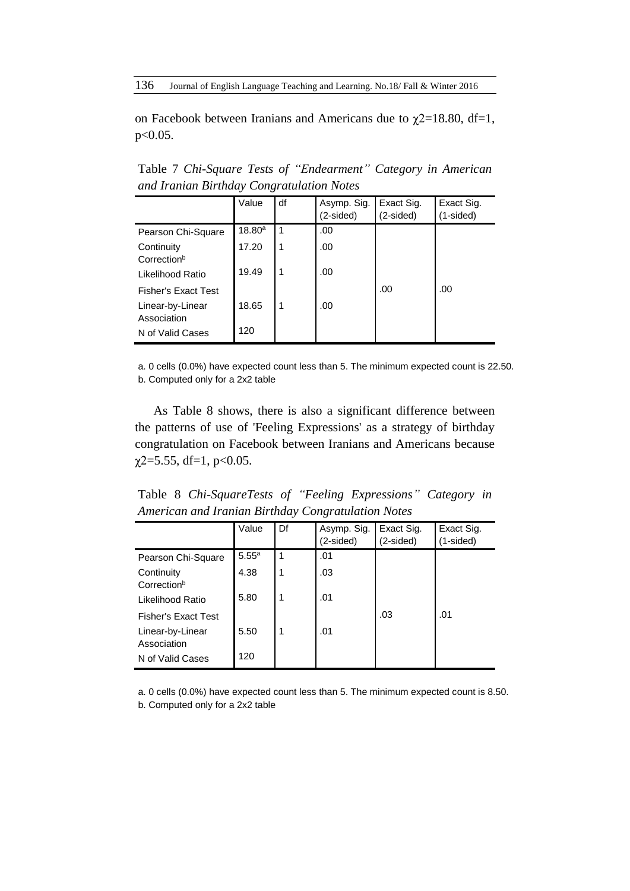on Facebook between Iranians and Americans due to  $\chi$ 2=18.80, df=1, p<0.05.

Table 7 *Chi-Square Tests of "Endearment" Category in American and Iranian Birthday Congratulation Notes*

|                                       | Value  | df | Asymp. Sig.<br>(2-sided) | Exact Sig.<br>$(2-sided)$ | Exact Sig.<br>$(1-sided)$ |
|---------------------------------------|--------|----|--------------------------|---------------------------|---------------------------|
| Pearson Chi-Square                    | 18.80a | -1 | .00                      |                           |                           |
| Continuity<br>Correction <sup>b</sup> | 17.20  | 1  | .00                      |                           |                           |
| Likelihood Ratio                      | 19.49  | 1  | .00                      |                           |                           |
| <b>Fisher's Exact Test</b>            |        |    |                          | .00                       | .00                       |
| Linear-by-Linear<br>Association       | 18.65  | 1  | .00                      |                           |                           |
| N of Valid Cases                      | 120    |    |                          |                           |                           |

a. 0 cells (0.0%) have expected count less than 5. The minimum expected count is 22.50. b. Computed only for a 2x2 table

As Table 8 shows, there is also a significant difference between the patterns of use of 'Feeling Expressions' as a strategy of birthday congratulation on Facebook between Iranians and Americans because  $\gamma$ 2=5.55, df=1, p<0.05.

Table 8 *Chi-SquareTests of "Feeling Expressions" Category in American and Iranian Birthday Congratulation Notes*

|                                       | Value             | Df | Asymp. Sig.<br>(2-sided) | Exact Sig.<br>(2-sided) | Exact Sig.<br>(1-sided) |
|---------------------------------------|-------------------|----|--------------------------|-------------------------|-------------------------|
| Pearson Chi-Square                    | 5.55 <sup>a</sup> | 1  | .01                      |                         |                         |
| Continuity<br>Correction <sup>b</sup> | 4.38              | 1  | .03                      |                         |                         |
| Likelihood Ratio                      | 5.80              | 1  | .01                      |                         |                         |
| <b>Fisher's Exact Test</b>            |                   |    |                          | .03                     | .01                     |
| Linear-by-Linear<br>Association       | 5.50              | 1  | .01                      |                         |                         |
| N of Valid Cases                      | 120               |    |                          |                         |                         |

a. 0 cells (0.0%) have expected count less than 5. The minimum expected count is 8.50. b. Computed only for a 2x2 table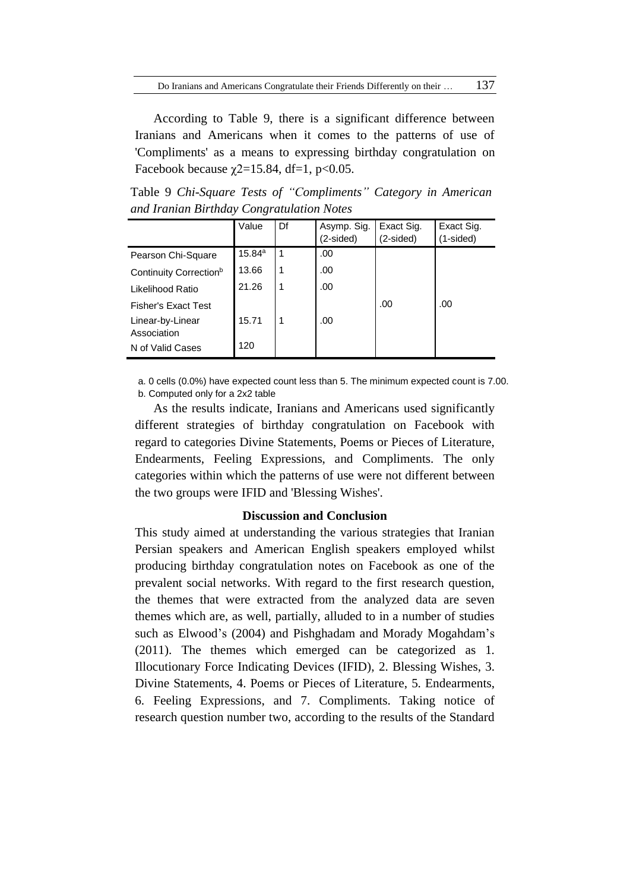According to Table 9, there is a significant difference between Iranians and Americans when it comes to the patterns of use of 'Compliments' as a means to expressing birthday congratulation on Facebook because  $\chi$ 2=15.84, df=1, p<0.05.

Table 9 *Chi-Square Tests of "Compliments" Category in American and Iranian Birthday Congratulation Notes*

|                                    | Value  | Df | Asymp. Sig.<br>(2-sided) | Exact Sig.<br>(2-sided) | Exact Sig.<br>(1-sided) |
|------------------------------------|--------|----|--------------------------|-------------------------|-------------------------|
|                                    |        |    |                          |                         |                         |
| Pearson Chi-Square                 | 15.84a | 1  | .00                      |                         |                         |
| Continuity Correction <sup>b</sup> | 13.66  |    | .00                      |                         |                         |
| Likelihood Ratio                   | 21.26  | 1  | .00                      |                         |                         |
| <b>Fisher's Exact Test</b>         |        |    |                          | .00                     | .00                     |
| Linear-by-Linear<br>Association    | 15.71  | 1  | .00                      |                         |                         |
| N of Valid Cases                   | 120    |    |                          |                         |                         |

a. 0 cells (0.0%) have expected count less than 5. The minimum expected count is 7.00. b. Computed only for a 2x2 table

As the results indicate, Iranians and Americans used significantly different strategies of birthday congratulation on Facebook with regard to categories Divine Statements, Poems or Pieces of Literature, Endearments, Feeling Expressions, and Compliments. The only categories within which the patterns of use were not different between the two groups were IFID and 'Blessing Wishes'.

### **Discussion and Conclusion**

This study aimed at understanding the various strategies that Iranian Persian speakers and American English speakers employed whilst producing birthday congratulation notes on Facebook as one of the prevalent social networks. With regard to the first research question, the themes that were extracted from the analyzed data are seven themes which are, as well, partially, alluded to in a number of studies such as Elwood's (2004) and Pishghadam and Morady Mogahdam's (2011). The themes which emerged can be categorized as 1. Illocutionary Force Indicating Devices (IFID), 2. Blessing Wishes, 3. Divine Statements, 4. Poems or Pieces of Literature, 5. Endearments, 6. Feeling Expressions, and 7. Compliments. Taking notice of research question number two, according to the results of the Standard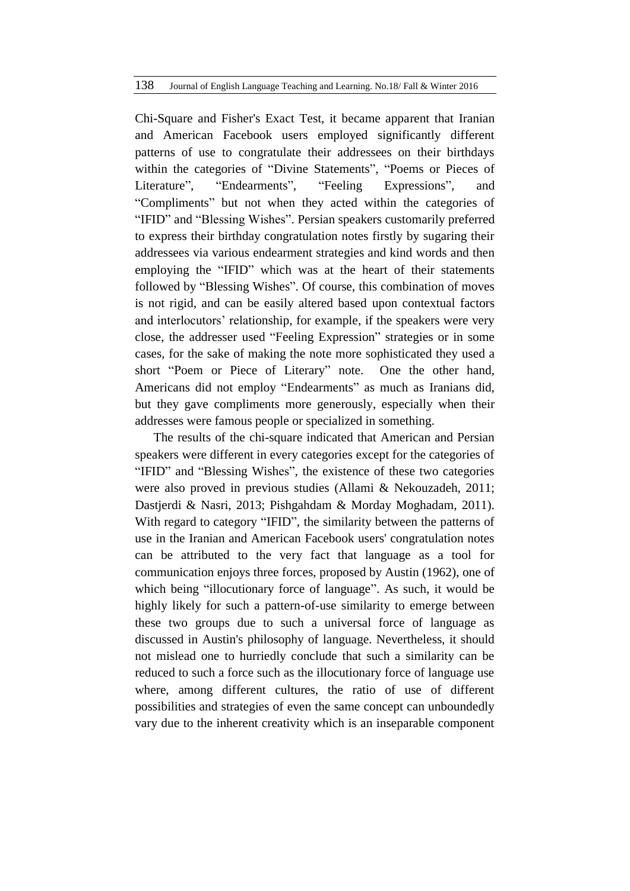### 138 Journal of English Language Teaching and Learning. No.18/ Fall & Winter 2016

Chi-Square and Fisher's Exact Test, it became apparent that Iranian and American Facebook users employed significantly different patterns of use to congratulate their addressees on their birthdays within the categories of "Divine Statements", "Poems or Pieces of Literature", "Endearments", "Feeling Expressions", and "Compliments" but not when they acted within the categories of "IFID" and "Blessing Wishes". Persian speakers customarily preferred to express their birthday congratulation notes firstly by sugaring their addressees via various endearment strategies and kind words and then employing the "IFID" which was at the heart of their statements followed by "Blessing Wishes". Of course, this combination of moves is not rigid, and can be easily altered based upon contextual factors and interlocutors' relationship, for example, if the speakers were very close, the addresser used "Feeling Expression" strategies or in some cases, for the sake of making the note more sophisticated they used a short "Poem or Piece of Literary" note. One the other hand, Americans did not employ "Endearments" as much as Iranians did, but they gave compliments more generously, especially when their addresses were famous people or specialized in something.

The results of the chi-square indicated that American and Persian speakers were different in every categories except for the categories of "IFID" and "Blessing Wishes", the existence of these two categories were also proved in previous studies (Allami & Nekouzadeh, 2011; Dastjerdi & Nasri, 2013; Pishgahdam & Morday Moghadam, 2011). With regard to category "IFID", the similarity between the patterns of use in the Iranian and American Facebook users' congratulation notes can be attributed to the very fact that language as a tool for communication enjoys three forces, proposed by Austin (1962), one of which being "illocutionary force of language". As such, it would be highly likely for such a pattern-of-use similarity to emerge between these two groups due to such a universal force of language as discussed in Austin's philosophy of language. Nevertheless, it should not mislead one to hurriedly conclude that such a similarity can be reduced to such a force such as the illocutionary force of language use where, among different cultures, the ratio of use of different possibilities and strategies of even the same concept can unboundedly vary due to the inherent creativity which is an inseparable component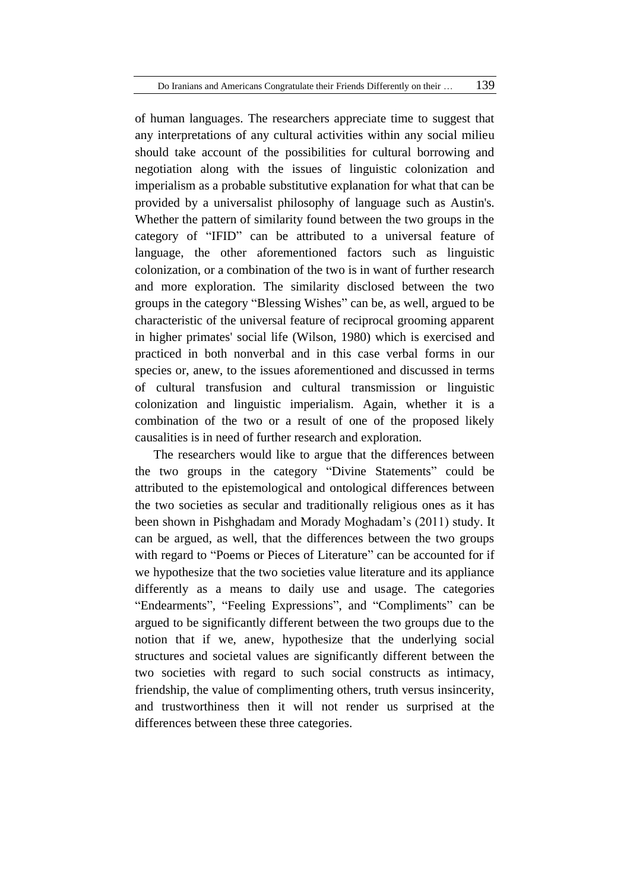of human languages. The researchers appreciate time to suggest that any interpretations of any cultural activities within any social milieu should take account of the possibilities for cultural borrowing and negotiation along with the issues of linguistic colonization and imperialism as a probable substitutive explanation for what that can be provided by a universalist philosophy of language such as Austin's. Whether the pattern of similarity found between the two groups in the category of "IFID" can be attributed to a universal feature of language, the other aforementioned factors such as linguistic colonization, or a combination of the two is in want of further research and more exploration. The similarity disclosed between the two groups in the category "Blessing Wishes" can be, as well, argued to be characteristic of the universal feature of reciprocal grooming apparent in higher primates' social life (Wilson, 1980) which is exercised and practiced in both nonverbal and in this case verbal forms in our species or, anew, to the issues aforementioned and discussed in terms of cultural transfusion and cultural transmission or linguistic colonization and linguistic imperialism. Again, whether it is a combination of the two or a result of one of the proposed likely causalities is in need of further research and exploration.

The researchers would like to argue that the differences between the two groups in the category "Divine Statements" could be attributed to the epistemological and ontological differences between the two societies as secular and traditionally religious ones as it has been shown in Pishghadam and Morady Moghadam's (2011) study. It can be argued, as well, that the differences between the two groups with regard to "Poems or Pieces of Literature" can be accounted for if we hypothesize that the two societies value literature and its appliance differently as a means to daily use and usage. The categories "Endearments", "Feeling Expressions", and "Compliments" can be argued to be significantly different between the two groups due to the notion that if we, anew, hypothesize that the underlying social structures and societal values are significantly different between the two societies with regard to such social constructs as intimacy, friendship, the value of complimenting others, truth versus insincerity, and trustworthiness then it will not render us surprised at the differences between these three categories.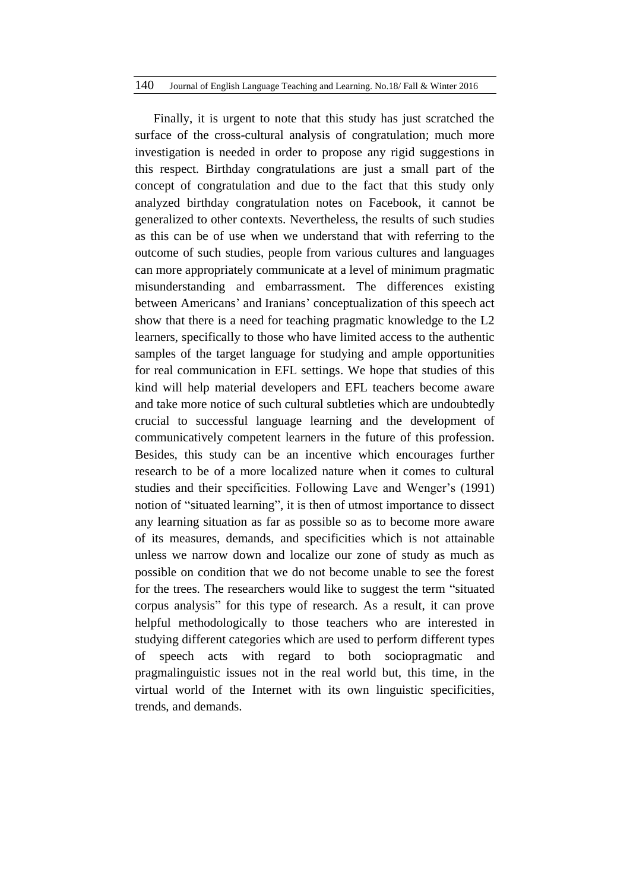#### 140 Journal of English Language Teaching and Learning. No.18/ Fall & Winter 2016

Finally, it is urgent to note that this study has just scratched the surface of the cross-cultural analysis of congratulation; much more investigation is needed in order to propose any rigid suggestions in this respect. Birthday congratulations are just a small part of the concept of congratulation and due to the fact that this study only analyzed birthday congratulation notes on Facebook, it cannot be generalized to other contexts. Nevertheless, the results of such studies as this can be of use when we understand that with referring to the outcome of such studies, people from various cultures and languages can more appropriately communicate at a level of minimum pragmatic misunderstanding and embarrassment. The differences existing between Americans' and Iranians' conceptualization of this speech act show that there is a need for teaching pragmatic knowledge to the L2 learners, specifically to those who have limited access to the authentic samples of the target language for studying and ample opportunities for real communication in EFL settings. We hope that studies of this kind will help material developers and EFL teachers become aware and take more notice of such cultural subtleties which are undoubtedly crucial to successful language learning and the development of communicatively competent learners in the future of this profession. Besides, this study can be an incentive which encourages further research to be of a more localized nature when it comes to cultural studies and their specificities. Following Lave and Wenger's (1991) notion of "situated learning", it is then of utmost importance to dissect any learning situation as far as possible so as to become more aware of its measures, demands, and specificities which is not attainable unless we narrow down and localize our zone of study as much as possible on condition that we do not become unable to see the forest for the trees. The researchers would like to suggest the term "situated corpus analysis" for this type of research. As a result, it can prove helpful methodologically to those teachers who are interested in studying different categories which are used to perform different types of speech acts with regard to both sociopragmatic and pragmalinguistic issues not in the real world but, this time, in the virtual world of the Internet with its own linguistic specificities, trends, and demands.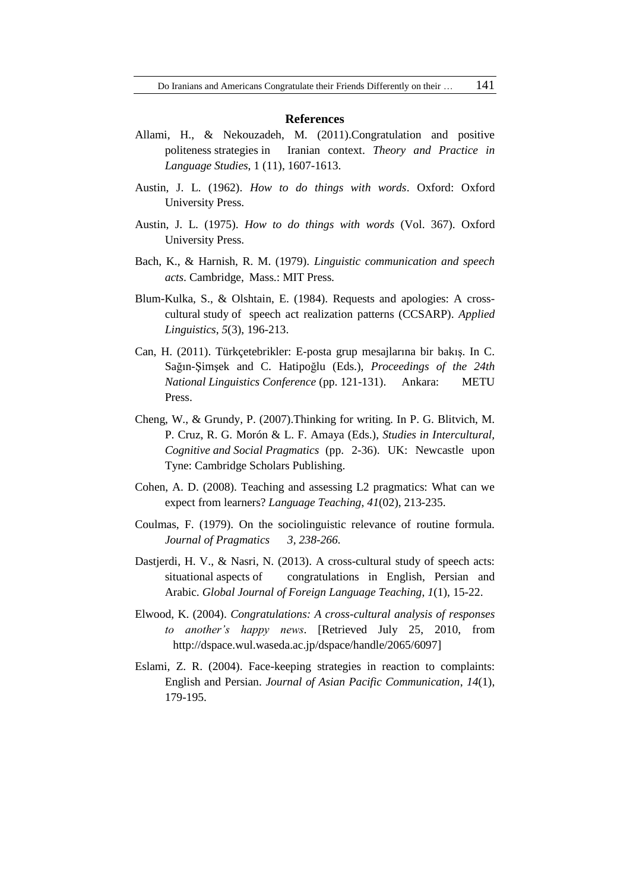#### **References**

- Allami, H., & Nekouzadeh, M. (2011).Congratulation and positive politeness strategies in Iranian context. *Theory and Practice in Language Studies*, 1 (11), 1607-1613.
- Austin, J. L. (1962). *How to do things with words*. Oxford: Oxford University Press.
- Austin, J. L. (1975). *How to do things with words* (Vol. 367). Oxford University Press.
- Bach, K., & Harnish, R. M. (1979). *Linguistic communication and speech acts*. Cambridge, Mass.: MIT Press.
- Blum-Kulka, S., & Olshtain, E. (1984). Requests and apologies: A crosscultural study of speech act realization patterns (CCSARP). *Applied Linguistics*, *5*(3), 196-213.
- Can, H. (2011). Türkçetebrikler: E-posta grup mesajlarına bir bakış. In C. Sağın-Şimşek and C. Hatipoğlu (Eds.), *Proceedings of the 24th National Linguistics Conference* (pp. 121-131). Ankara: METU Press.
- Cheng, W., & Grundy, P. (2007).Thinking for writing. In P. G. Blitvich, M. P. Cruz, R. G. Morón & L. F. Amaya (Eds.), *Studies in Intercultural, Cognitive and Social Pragmatics* (pp. 2-36). UK: Newcastle upon Tyne: Cambridge Scholars Publishing.
- Cohen, A. D. (2008). Teaching and assessing L2 pragmatics: What can we expect from learners? *Language Teaching*, *41*(02), 213-235.
- Coulmas, F. (1979). On the sociolinguistic relevance of routine formula. *Journal of Pragmatics 3, 238-266.*
- Dastjerdi, H. V., & Nasri, N. (2013). A cross-cultural study of speech acts: situational aspects of congratulations in English, Persian and Arabic. *Global Journal of Foreign Language Teaching*, *1*(1), 15-22.
- Elwood, K. (2004). *Congratulations: A cross-cultural analysis of responses to another's happy news*. [Retrieved July 25, 2010, from [http://dspace.wul.waseda.ac.jp/dspace/handle/2065/6097\]](http://dspace.wul.waseda.ac.jp/dspace/handle/2065/6097)
- Eslami, Z. R. (2004). Face-keeping strategies in reaction to complaints: English and Persian. *Journal of Asian Pacific Communication*, *14*(1), 179-195.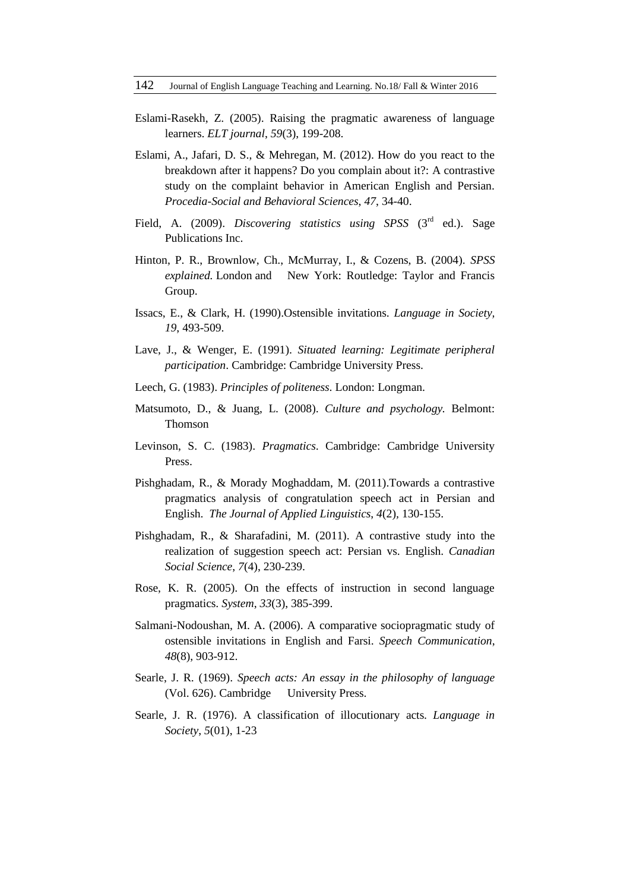- Eslami-Rasekh, Z. (2005). Raising the pragmatic awareness of language learners. *ELT journal*, *59*(3), 199-208.
- Eslami, A., Jafari, D. S., & Mehregan, M. (2012). How do you react to the breakdown after it happens? Do you complain about it?: A contrastive study on the complaint behavior in American English and Persian. *Procedia-Social and Behavioral Sciences*, *47*, 34-40.
- Field, A. (2009). *Discovering statistics using SPSS* (3<sup>rd</sup> ed.). Sage Publications Inc.
- Hinton, P. R., Brownlow, Ch., McMurray, I., & Cozens, B. (2004). *SPSS explained.* London and New York: Routledge: Taylor and Francis Group.
- Issacs, E., & Clark, H. (1990).Ostensible invitations. *Language in Society, 19*, 493-509.
- Lave, J., & Wenger, E. (1991). *Situated learning: Legitimate peripheral participation*. Cambridge: Cambridge University Press.
- Leech, G. (1983). *Principles of politeness*. London: Longman.
- Matsumoto, D., & Juang, L. (2008). *Culture and psychology.* Belmont: Thomson
- Levinson, S. C. (1983). *Pragmatics*. Cambridge: Cambridge University Press.
- Pishghadam, R., & Morady Moghaddam, M. (2011).Towards a contrastive pragmatics analysis of congratulation speech act in Persian and English. *The Journal of Applied Linguistics*, *4*(2)*,* 130-155.
- Pishghadam, R., & Sharafadini, M. (2011). A contrastive study into the realization of suggestion speech act: Persian vs. English. *Canadian Social Science*, *7*(4), 230-239.
- Rose, K. R. (2005). On the effects of instruction in second language pragmatics. *System*, *33*(3), 385-399.
- Salmani-Nodoushan, M. A. (2006). A comparative sociopragmatic study of ostensible invitations in English and Farsi. *Speech Communication*, *48*(8), 903-912.
- Searle, J. R. (1969). *Speech acts: An essay in the philosophy of language* (Vol. 626). Cambridge University Press.
- Searle, J. R. (1976). A classification of illocutionary acts. *Language in Society*, *5*(01), 1-23